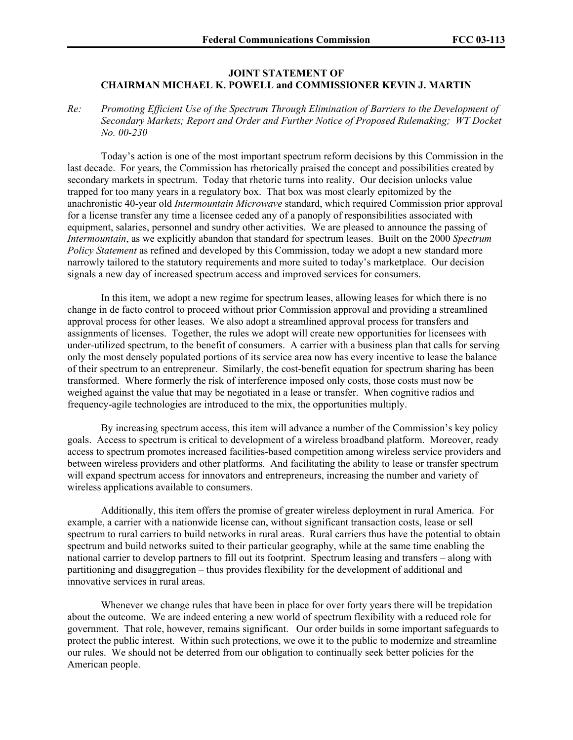## **JOINT STATEMENT OF CHAIRMAN MICHAEL K. POWELL and COMMISSIONER KEVIN J. MARTIN**

*Re: Promoting Efficient Use of the Spectrum Through Elimination of Barriers to the Development of Secondary Markets; Report and Order and Further Notice of Proposed Rulemaking; WT Docket No. 00-230* 

Today's action is one of the most important spectrum reform decisions by this Commission in the last decade. For years, the Commission has rhetorically praised the concept and possibilities created by secondary markets in spectrum. Today that rhetoric turns into reality. Our decision unlocks value trapped for too many years in a regulatory box. That box was most clearly epitomized by the anachronistic 40-year old *Intermountain Microwave* standard, which required Commission prior approval for a license transfer any time a licensee ceded any of a panoply of responsibilities associated with equipment, salaries, personnel and sundry other activities. We are pleased to announce the passing of *Intermountain*, as we explicitly abandon that standard for spectrum leases. Built on the 2000 *Spectrum Policy Statement* as refined and developed by this Commission, today we adopt a new standard more narrowly tailored to the statutory requirements and more suited to today's marketplace. Our decision signals a new day of increased spectrum access and improved services for consumers.

In this item, we adopt a new regime for spectrum leases, allowing leases for which there is no change in de facto control to proceed without prior Commission approval and providing a streamlined approval process for other leases. We also adopt a streamlined approval process for transfers and assignments of licenses. Together, the rules we adopt will create new opportunities for licensees with under-utilized spectrum, to the benefit of consumers. A carrier with a business plan that calls for serving only the most densely populated portions of its service area now has every incentive to lease the balance of their spectrum to an entrepreneur. Similarly, the cost-benefit equation for spectrum sharing has been transformed. Where formerly the risk of interference imposed only costs, those costs must now be weighed against the value that may be negotiated in a lease or transfer. When cognitive radios and frequency-agile technologies are introduced to the mix, the opportunities multiply.

By increasing spectrum access, this item will advance a number of the Commission's key policy goals. Access to spectrum is critical to development of a wireless broadband platform. Moreover, ready access to spectrum promotes increased facilities-based competition among wireless service providers and between wireless providers and other platforms. And facilitating the ability to lease or transfer spectrum will expand spectrum access for innovators and entrepreneurs, increasing the number and variety of wireless applications available to consumers.

Additionally, this item offers the promise of greater wireless deployment in rural America. For example, a carrier with a nationwide license can, without significant transaction costs, lease or sell spectrum to rural carriers to build networks in rural areas. Rural carriers thus have the potential to obtain spectrum and build networks suited to their particular geography, while at the same time enabling the national carrier to develop partners to fill out its footprint. Spectrum leasing and transfers – along with partitioning and disaggregation – thus provides flexibility for the development of additional and innovative services in rural areas.

Whenever we change rules that have been in place for over forty years there will be trepidation about the outcome. We are indeed entering a new world of spectrum flexibility with a reduced role for government. That role, however, remains significant. Our order builds in some important safeguards to protect the public interest. Within such protections, we owe it to the public to modernize and streamline our rules. We should not be deterred from our obligation to continually seek better policies for the American people.